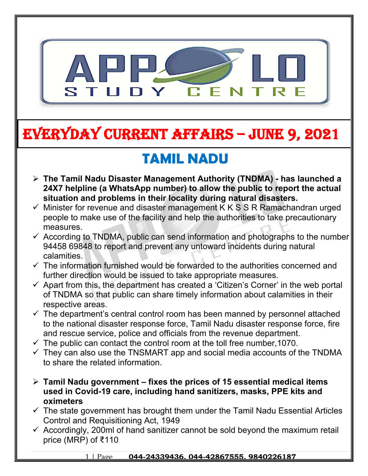

# **EVERYDAY CURRENT AFFAIRS – jUNE 9, 2021**

**-**

## **TAMIL NADU**

- **The Tamil Nadu Disaster Management Authority (TNDMA) has launched a 24X7 helpline (a WhatsApp number) to allow the public to report the actual situation and problems in their locality during natural disasters.**
- $\checkmark$  Minister for revenue and disaster management K K S S R Ramachandran urged people to make use of the facility and help the authorities to take precautionary measures.
- $\checkmark$  According to TNDMA, public can send information and photographs to the number 94458 69848 to report and prevent any untoward incidents during natural calamities.
- $\checkmark$  The information furnished would be forwarded to the authorities concerned and further direction would be issued to take appropriate measures.
- $\checkmark$  Apart from this, the department has created a 'Citizen's Corner' in the web portal of TNDMA so that public can share timely information about calamities in their respective areas.
- $\checkmark$  The department's central control room has been manned by personnel attached to the national disaster response force, Tamil Nadu disaster response force, fire and rescue service, police and officials from the revenue department.
- $\checkmark$  The public can contact the control room at the toll free number, 1070.
- $\checkmark$  They can also use the TNSMART app and social media accounts of the TNDMA to share the related information.
- **Tamil Nadu government fixes the prices of 15 essential medical items used in Covid-19 care, including hand sanitizers, masks, PPE kits and oximeters**
- $\checkmark$  The state government has brought them under the Tamil Nadu Essential Articles Control and Requisitioning Act, 1949
- $\checkmark$  Accordingly, 200ml of hand sanitizer cannot be sold beyond the maximum retail price (MRP) of ₹110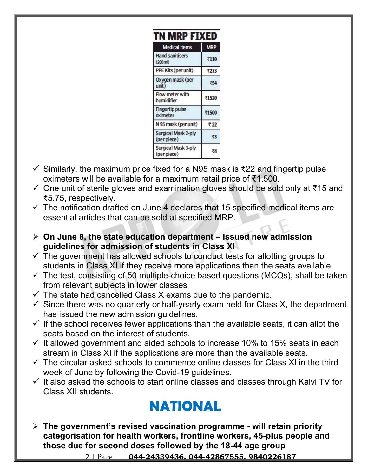| TN MRP FIXED                                 |            |  |  |  |
|----------------------------------------------|------------|--|--|--|
| <b>Medical items</b>                         | <b>MRP</b> |  |  |  |
| <b>Hand sanitisers</b><br>$(200 \text{ ml})$ | ₹110       |  |  |  |
| PPE Kits (per unit)                          | ₹273       |  |  |  |
| Oxygen mask (per<br>unit)                    | ₹54        |  |  |  |
| Flow meter with<br>humidifier                | ₹1520      |  |  |  |
| <b>Fingertip pulse</b><br>oximeter           | ₹1500      |  |  |  |
| N 95 mask (per unit)                         | ₹22        |  |  |  |
| <b>Surgical Mask 2-ply</b><br>(per piece)    | ₹3         |  |  |  |
| <b>Surgical Mask 3-ply</b><br>(per piece)    | ₹4         |  |  |  |

- $\checkmark$  Similarly, the maximum price fixed for a N95 mask is  $\checkmark$ 22 and fingertip pulse oximeters will be available for a maximum retail price of ₹1,500.
- One unit of sterile gloves and examination gloves should be sold only at ₹15 and ₹5.75, respectively.
- $\checkmark$  The notification drafted on June 4 declares that 15 specified medical items are essential articles that can be sold at specified MRP.
- **On June 8, the state education department issued new admission guidelines for admission of students in Class XI**
- $\checkmark$  The government has allowed schools to conduct tests for allotting groups to students in Class XI if they receive more applications than the seats available.
- $\checkmark$  The test, consisting of 50 multiple-choice based questions (MCQs), shall be taken from relevant subjects in lower classes
- $\checkmark$  The state had cancelled Class X exams due to the pandemic.
- $\checkmark$  Since there was no quarterly or half-yearly exam held for Class X, the department has issued the new admission guidelines.
- $\checkmark$  If the school receives fewer applications than the available seats, it can allot the seats based on the interest of students.
- $\checkmark$  It allowed government and aided schools to increase 10% to 15% seats in each stream in Class XI if the applications are more than the available seats.
- $\checkmark$  The circular asked schools to commence online classes for Class XI in the third week of June by following the Covid-19 guidelines.
- $\checkmark$  It also asked the schools to start online classes and classes through Kalvi TV for Class XII students.

## **NATIONAL**

 **The government's revised vaccination programme - will retain priority categorisation for health workers, frontline workers, 45-plus people and those due for second doses followed by the 18-44 age group**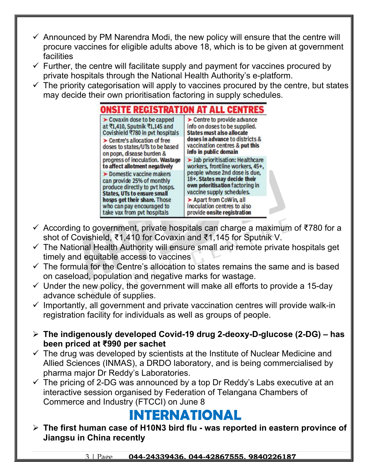- $\checkmark$  Announced by PM Narendra Modi, the new policy will ensure that the centre will procure vaccines for eligible adults above 18, which is to be given at government facilities
- $\checkmark$  Further, the centre will facilitate supply and payment for vaccines procured by private hospitals through the National Health Authority's e-platform.
- $\checkmark$  The priority categorisation will apply to vaccines procured by the centre, but states may decide their own prioritisation factoring in supply schedules.

ONSITE REGISTRATION AT ALL CENTRES  $\triangleright$  Covaxin dose to be capped  $\blacktriangleright$  Centre to provide advance at ₹1,410, Sputnik ₹1,145 and info on doses to be supplied. Covishield ₹780 in pvt hospitals **States must also allocate** doses in advance to districts & > Centre's allocation of free vaccination centres & put this doses to states/UTs to be based info in public domain on popn, disease burden & progress of inoculation. Wastage > Jab prioritisation: Healthcare to affect allotment negatively workers, frontline workers, 45+. people whose 2nd dose is due, Domestic vaccine makers 18+. States may decide their can provide 25% of monthly own prioritisation factoring in produce directly to pyt hosps. vaccine supply schedules. **States, UTs to ensure small** Apart from CoWin, all hosps get their share. Those who can pay encouraged to inoculation centres to also take vax from pyt hospitals provide onsite registration

- According to government, private hospitals can charge a maximum of ₹780 for a shot of Covishield, ₹1,410 for Covaxin and ₹1,145 for Sputnik V.
- $\checkmark$  The National Health Authority will ensure small and remote private hospitals get timely and equitable access to vaccines
- $\checkmark$  The formula for the Centre's allocation to states remains the same and is based on caseload, population and negative marks for wastage.
- $\checkmark$  Under the new policy, the government will make all efforts to provide a 15-day advance schedule of supplies.
- $\checkmark$  Importantly, all government and private vaccination centres will provide walk-in registration facility for individuals as well as groups of people.
- **The indigenously developed Covid-19 drug 2-deoxy-D-glucose (2-DG) has been priced at ₹990 per sachet**
- $\checkmark$  The drug was developed by scientists at the Institute of Nuclear Medicine and Allied Sciences (INMAS), a DRDO laboratory, and is being commercialised by pharma major Dr Reddy's Laboratories.
- $\checkmark$  The pricing of 2-DG was announced by a top Dr Reddy's Labs executive at an interactive session organised by Federation of Telangana Chambers of Commerce and Industry (FTCCI) on June 8

#### **INTERNATIONAL**

 **The first human case of H10N3 bird flu - was reported in eastern province of Jiangsu in China recently**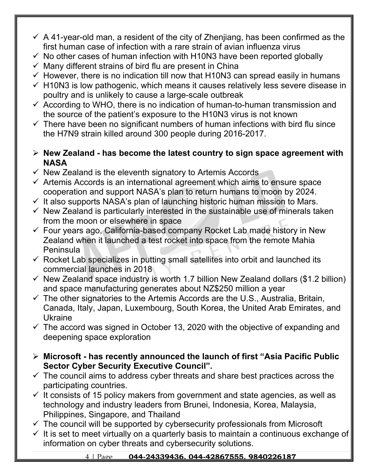- $\checkmark$  A 41-year-old man, a resident of the city of Zhenjiang, has been confirmed as the first human case of infection with a rare strain of avian influenza virus
- $\checkmark$  No other cases of human infection with H10N3 have been reported globally
- $\checkmark$  Many different strains of bird flu are present in China
- $\checkmark$  However, there is no indication till now that H10N3 can spread easily in humans
- $\checkmark$  H10N3 is low pathogenic, which means it causes relatively less severe disease in poultry and is unlikely to cause a large-scale outbreak
- $\checkmark$  According to WHO, there is no indication of human-to-human transmission and the source of the patient's exposure to the H10N3 virus is not known
- $\checkmark$  There have been no significant numbers of human infections with bird flu since the H7N9 strain killed around 300 people during 2016-2017.
- **New Zealand has become the latest country to sign space agreement with NASA**
- $\checkmark$  New Zealand is the eleventh signatory to Artemis Accords.
- $\checkmark$  Artemis Accords is an international agreement which aims to ensure space cooperation and support NASA's plan to return humans to moon by 2024.
- $\checkmark$  It also supports NASA's plan of launching historic human mission to Mars.
- $\checkmark$  New Zealand is particularly interested in the sustainable use of minerals taken from the moon or elsewhere in space
- $\checkmark$  Four years ago, California-based company Rocket Lab made history in New Zealand when it launched a test rocket into space from the remote Mahia Peninsula
- $\checkmark$  Rocket Lab specializes in putting small satellites into orbit and launched its commercial launches in 2018
- $\checkmark$  New Zealand space industry is worth 1.7 billion New Zealand dollars (\$1.2 billion) and space manufacturing generates about NZ\$250 million a year
- $\checkmark$  The other signatories to the Artemis Accords are the U.S., Australia, Britain, Canada, Italy, Japan, Luxembourg, South Korea, the United Arab Emirates, and Ukraine
- $\checkmark$  The accord was signed in October 13, 2020 with the objective of expanding and deepening space exploration
- **Microsoft has recently announced the launch of first "Asia Pacific Public Sector Cyber Security Executive Council".**
- $\checkmark$  The council aims to address cyber threats and share best practices across the participating countries.
- $\checkmark$  It consists of 15 policy makers from government and state agencies, as well as technology and industry leaders from Brunei, Indonesia, Korea, Malaysia, Philippines, Singapore, and Thailand
- $\checkmark$  The council will be supported by cybersecurity professionals from Microsoft
- $\checkmark$  It is set to meet virtually on a quarterly basis to maintain a continuous exchange of information on cyber threats and cybersecurity solutions.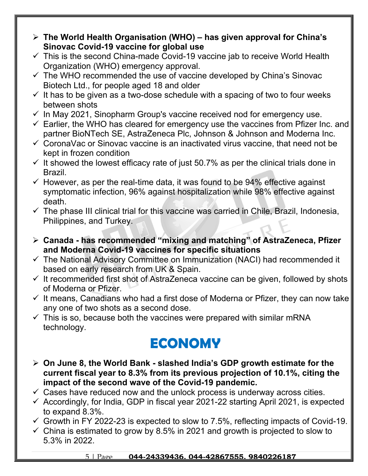- **The World Health Organisation (WHO) has given approval for China's Sinovac Covid-19 vaccine for global use**
- $\checkmark$  This is the second China-made Covid-19 vaccine jab to receive World Health Organization (WHO) emergency approval.
- $\checkmark$  The WHO recommended the use of vaccine developed by China's Sinovac Biotech Ltd., for people aged 18 and older
- $\checkmark$  It has to be given as a two-dose schedule with a spacing of two to four weeks between shots
- $\checkmark$  In May 2021, Sinopharm Group's vaccine received nod for emergency use.
- $\checkmark$  Earlier, the WHO has cleared for emergency use the vaccines from Pfizer Inc. and partner BioNTech SE, AstraZeneca Plc, Johnson & Johnson and Moderna Inc.
- $\checkmark$  CoronaVac or Sinovac vaccine is an inactivated virus vaccine, that need not be kept in frozen condition
- $\checkmark$  It showed the lowest efficacy rate of just 50.7% as per the clinical trials done in Brazil.
- $\checkmark$  However, as per the real-time data, it was found to be 94% effective against symptomatic infection, 96% against hospitalization while 98% effective against death.
- $\checkmark$  The phase III clinical trial for this vaccine was carried in Chile, Brazil, Indonesia, Philippines, and Turkey.
- **Canada has recommended "mixing and matching" of AstraZeneca, Pfizer and Moderna Covid-19 vaccines for specific situations**
- $\checkmark$  The National Advisory Committee on Immunization (NACI) had recommended it based on early research from UK & Spain.
- $\checkmark$  It recommended first shot of AstraZeneca vaccine can be given, followed by shots of Moderna or Pfizer.
- $\checkmark$  It means, Canadians who had a first dose of Moderna or Pfizer, they can now take any one of two shots as a second dose.
- $\checkmark$  This is so, because both the vaccines were prepared with similar mRNA technology.

## **ECONOMY**

- **On June 8, the World Bank slashed India's GDP growth estimate for the current fiscal year to 8.3% from its previous projection of 10.1%, citing the impact of the second wave of the Covid-19 pandemic.**
- $\checkmark$  Cases have reduced now and the unlock process is underway across cities.
- $\checkmark$  Accordingly, for India, GDP in fiscal year 2021-22 starting April 2021, is expected to expand 8.3%.
- $\checkmark$  Growth in FY 2022-23 is expected to slow to 7.5%, reflecting impacts of Covid-19.
- $\checkmark$  China is estimated to grow by 8.5% in 2021 and growth is projected to slow to 5.3% in 2022.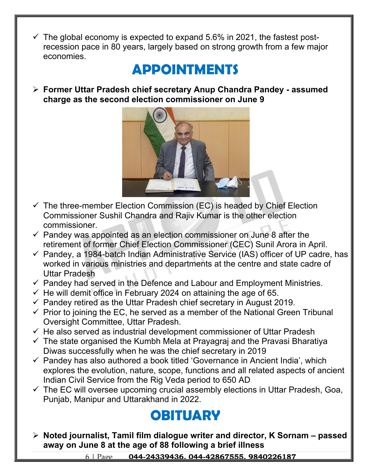$\checkmark$  The global economy is expected to expand 5.6% in 2021, the fastest postrecession pace in 80 years, largely based on strong growth from a few major economies.

#### **APPOINTMENTS**

 **Former Uttar Pradesh chief secretary Anup Chandra Pandey - assumed charge as the second election commissioner on June 9**



- $\checkmark$  The three-member Election Commission (EC) is headed by Chief Election Commissioner Sushil Chandra and Rajiv Kumar is the other election commissioner.
- $\checkmark$  Pandey was appointed as an election commissioner on June 8 after the retirement of former Chief Election Commissioner (CEC) Sunil Arora in April.
- $\checkmark$  Pandey, a 1984-batch Indian Administrative Service (IAS) officer of UP cadre, has worked in various ministries and departments at the centre and state cadre of Uttar Pradesh
- $\checkmark$  Pandey had served in the Defence and Labour and Employment Ministries.
- $\checkmark$  He will demit office in February 2024 on attaining the age of 65.
- $\checkmark$  Pandey retired as the Uttar Pradesh chief secretary in August 2019.
- $\checkmark$  Prior to joining the EC, he served as a member of the National Green Tribunal Oversight Committee, Uttar Pradesh.
- $\checkmark$  He also served as industrial development commissioner of Uttar Pradesh
- $\checkmark$  The state organised the Kumbh Mela at Prayagraj and the Pravasi Bharatiya Diwas successfully when he was the chief secretary in 2019
- $\checkmark$  Pandey has also authored a book titled 'Governance in Ancient India', which explores the evolution, nature, scope, functions and all related aspects of ancient Indian Civil Service from the Rig Veda period to 650 AD
- $\checkmark$  The EC will oversee upcoming crucial assembly elections in Uttar Pradesh, Goa, Punjab, Manipur and Uttarakhand in 2022.

### **OBITUARY**

 **Noted journalist, Tamil film dialogue writer and director, K Sornam – passed away on June 8 at the age of 88 following a brief illness**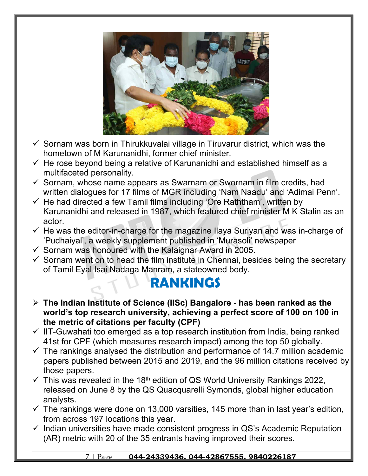

- $\checkmark$  Sornam was born in Thirukkuvalai village in Tiruvarur district, which was the hometown of M Karunanidhi, former chief minister.
- $\checkmark$  He rose beyond being a relative of Karunanidhi and established himself as a multifaceted personality.
- $\checkmark$  Sornam, whose name appears as Swarnam or Swornam in film credits, had written dialogues for 17 films of MGR including 'Nam Naadu' and 'Adimai Penn'.
- $\checkmark$  He had directed a few Tamil films including 'Ore Raththam', written by Karunanidhi and released in 1987, which featured chief minister M K Stalin as an actor.
- $\checkmark$  He was the editor-in-charge for the magazine Ilaya Suriyan and was in-charge of 'Pudhaiyal', a weekly supplement published in 'Murasoli' newspaper
- $\checkmark$  Sornam was honoured with the Kalaignar Award in 2005.
- $\checkmark$  Sornam went on to head the film institute in Chennai, besides being the secretary of Tamil Eyal Isai Nadaga Manram, a stateowned body.

#### **RANKINGS**

- **The Indian Institute of Science (IISc) Bangalore has been ranked as the world's top research university, achieving a perfect score of 100 on 100 in the metric of citations per faculty (CPF)**
- $\checkmark$  IIT-Guwahati too emerged as a top research institution from India, being ranked 41st for CPF (which measures research impact) among the top 50 globally.
- $\checkmark$  The rankings analysed the distribution and performance of 14.7 million academic papers published between 2015 and 2019, and the 96 million citations received by those papers.
- $\checkmark$  This was revealed in the 18<sup>th</sup> edition of QS World University Rankings 2022, released on June 8 by the QS Quacquarelli Symonds, global higher education analysts.
- $\checkmark$  The rankings were done on 13,000 varsities, 145 more than in last year's edition, from across 197 locations this year.
- $\checkmark$  Indian universities have made consistent progress in QS's Academic Reputation (AR) metric with 20 of the 35 entrants having improved their scores.

#### 7 | Page **044-24339436, 044-42867555, 9840226187**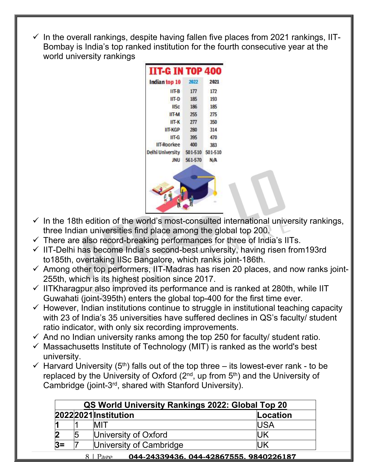In the overall rankings, despite having fallen five places from 2021 rankings, IIT-Bombay is India's top ranked institution for the fourth consecutive year at the world university rankings

| 2021<br>172<br>193 |
|--------------------|
|                    |
|                    |
|                    |
| 185                |
| 275                |
| 350                |
| 314                |
| 470                |
| 383                |
| 501-510            |
| N/A                |
|                    |

- $\checkmark$  In the 18th edition of the world's most-consulted international university rankings, three Indian universities find place among the global top 200.
- $\checkmark$  There are also record-breaking performances for three of India's IITs.
- $\checkmark$  IIT-Delhi has become India's second-best university, having risen from 193rd to185th, overtaking IISc Bangalore, which ranks joint-186th.
- $\checkmark$  Among other top performers, IIT-Madras has risen 20 places, and now ranks joint-255th, which is its highest position since 2017.
- $\checkmark$  IITKharagpur also improved its performance and is ranked at 280th, while IIT Guwahati (joint-395th) enters the global top-400 for the first time ever.
- $\checkmark$  However, Indian institutions continue to struggle in institutional teaching capacity with 23 of India's 35 universities have suffered declines in QS's faculty/ student ratio indicator, with only six recording improvements.
- $\checkmark$  And no Indian university ranks among the top 250 for faculty/ student ratio.
- $\checkmark$  Massachusetts Institute of Technology (MIT) is ranked as the world's best university.
- $\checkmark$  Harvard University (5<sup>th</sup>) falls out of the top three its lowest-ever rank to be replaced by the University of Oxford  $(2^{nd}, up from 5<sup>th</sup>)$  and the University of Cambridge (joint-3rd, shared with Stanford University).

| QS World University Rankings 2022: Global Top 20   |   |                         |            |  |
|----------------------------------------------------|---|-------------------------|------------|--|
|                                                    |   | 2022 2021 Institution   | Location   |  |
|                                                    |   | <b>MIT</b>              | <b>USA</b> |  |
| $\overline{\mathbf{2}}$                            | 5 | University of Oxford    | IJΚ        |  |
| $3=$                                               |   | University of Cambridge | IJΚ        |  |
| 044-24339436.044-42867555.9840226187<br>$Pa\sigma$ |   |                         |            |  |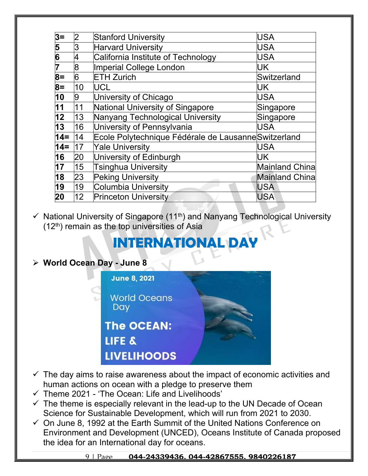| $3=$         | 2  | <b>Stanford University</b>                           | USA                   |
|--------------|----|------------------------------------------------------|-----------------------|
| 5            | 3  | <b>Harvard University</b>                            | USA                   |
| 6            | 4  | California Institute of Technology                   | USA                   |
|              | 8  | Imperial College London                              | UK                    |
| $8=$         | 6  | <b>ETH Zurich</b>                                    | Switzerland           |
| $8=$         | 10 | <b>UCL</b>                                           | UK                    |
| 10           | 9  | University of Chicago                                | USA                   |
| 11           | 11 | National University of Singapore                     | Singapore             |
| $ 12\rangle$ | 13 | Nanyang Technological University                     | Singapore             |
| 13           | 16 | University of Pennsylvania                           | USA                   |
| $14 =$       | 14 | Ecole Polytechnique Fédérale de Lausanne Switzerland |                       |
| $14 =$       | 17 | <b>Yale University</b>                               | USA                   |
| 16           | 20 | University of Edinburgh                              | UK                    |
| 17           | 15 | <b>Tsinghua University</b>                           | <b>Mainland China</b> |
| 18           | 23 | <b>Peking University</b>                             | <b>Mainland China</b> |
| 19           | 19 | Columbia University                                  | <b>USA</b>            |
| 20           | 12 | <b>Princeton University</b>                          | <b>USA</b>            |
|              |    |                                                      |                       |

 $\checkmark$  National University of Singapore (11<sup>th</sup>) and Nanyang Technological University  $(12<sup>th</sup>)$  remain as the top universities of Asia

## **INTERNATIONAL DA**

#### **World Ocean Day - June 8**

| <b>June 8, 2021</b>        |  |
|----------------------------|--|
| <b>World Oceans</b><br>Day |  |
| <b>The OCEAN:</b>          |  |
| LIFE &                     |  |
| <b>LIVELIHOODS</b>         |  |

- $\checkmark$  The day aims to raise awareness about the impact of economic activities and human actions on ocean with a pledge to preserve them
- $\checkmark$  Theme 2021 'The Ocean: Life and Livelihoods'
- $\checkmark$  The theme is especially relevant in the lead-up to the UN Decade of Ocean Science for Sustainable Development, which will run from 2021 to 2030.
- $\checkmark$  On June 8, 1992 at the Earth Summit of the United Nations Conference on Environment and Development (UNCED), Oceans Institute of Canada proposed the idea for an International day for oceans.